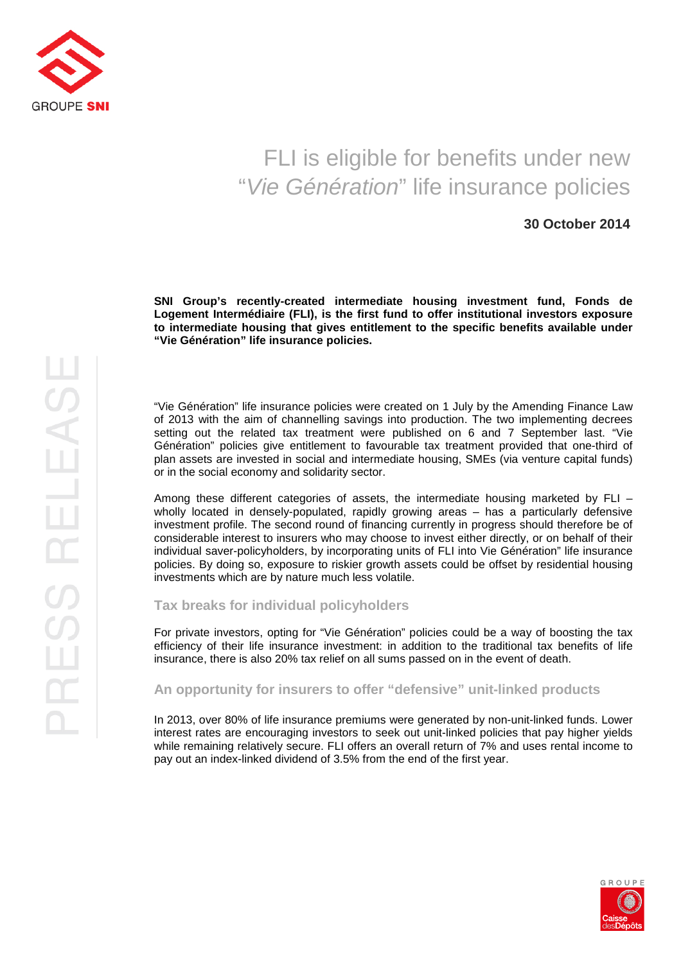

## FLI is eligible for benefits under new "Vie Génération" life insurance policies

## **30 October 2014**

**SNI Group's recently-created intermediate housing investment fund, Fonds de Logement Intermédiaire (FLI), is the first fund to offer institutional investors exposure to intermediate housing that gives entitlement to the specific benefits available under "Vie Génération" life insurance policies.** 

"Vie Génération" life insurance policies were created on 1 July by the Amending Finance Law of 2013 with the aim of channelling savings into production. The two implementing decrees setting out the related tax treatment were published on 6 and 7 September last. "Vie Génération" policies give entitlement to favourable tax treatment provided that one-third of plan assets are invested in social and intermediate housing, SMEs (via venture capital funds) or in the social economy and solidarity sector.

Among these different categories of assets, the intermediate housing marketed by FLI – wholly located in densely-populated, rapidly growing areas – has a particularly defensive investment profile. The second round of financing currently in progress should therefore be of considerable interest to insurers who may choose to invest either directly, or on behalf of their individual saver-policyholders, by incorporating units of FLI into Vie Génération" life insurance policies. By doing so, exposure to riskier growth assets could be offset by residential housing investments which are by nature much less volatile.

**Tax breaks for individual policyholders** 

For private investors, opting for "Vie Génération" policies could be a way of boosting the tax efficiency of their life insurance investment: in addition to the traditional tax benefits of life insurance, there is also 20% tax relief on all sums passed on in the event of death.

**An opportunity for insurers to offer "defensive" unit-linked products** 

In 2013, over 80% of life insurance premiums were generated by non-unit-linked funds. Lower interest rates are encouraging investors to seek out unit-linked policies that pay higher yields while remaining relatively secure. FLI offers an overall return of 7% and uses rental income to pay out an index-linked dividend of 3.5% from the end of the first year.